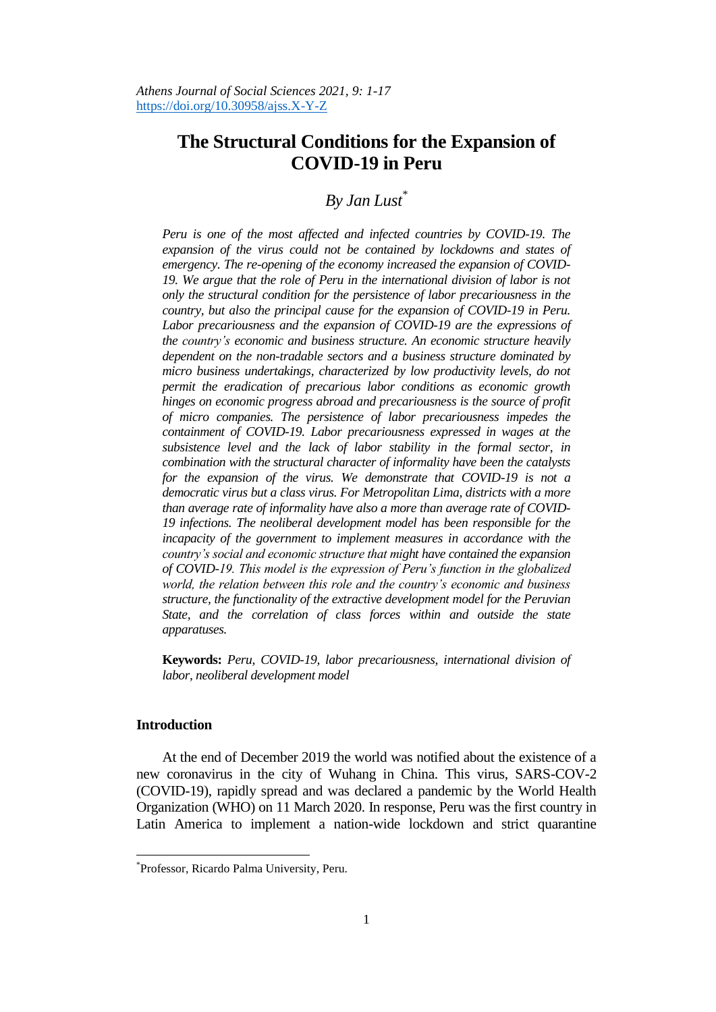# **The Structural Conditions for the Expansion of COVID-19 in Peru**

# *By Jan Lust\**

*Peru is one of the most affected and infected countries by COVID-19. The expansion of the virus could not be contained by lockdowns and states of emergency. The re-opening of the economy increased the expansion of COVID-19. We argue that the role of Peru in the international division of labor is not only the structural condition for the persistence of labor precariousness in the country, but also the principal cause for the expansion of COVID-19 in Peru.*  Labor precariousness and the expansion of COVID-19 are the expressions of *the country's economic and business structure. An economic structure heavily dependent on the non-tradable sectors and a business structure dominated by micro business undertakings, characterized by low productivity levels, do not permit the eradication of precarious labor conditions as economic growth hinges on economic progress abroad and precariousness is the source of profit of micro companies. The persistence of labor precariousness impedes the containment of COVID-19. Labor precariousness expressed in wages at the subsistence level and the lack of labor stability in the formal sector, in combination with the structural character of informality have been the catalysts for the expansion of the virus. We demonstrate that COVID-19 is not a democratic virus but a class virus. For Metropolitan Lima, districts with a more than average rate of informality have also a more than average rate of COVID-19 infections. The neoliberal development model has been responsible for the incapacity of the government to implement measures in accordance with the country's social and economic structure that might have contained the expansion of COVID-19. This model is the expression of Peru's function in the globalized world, the relation between this role and the country's economic and business structure, the functionality of the extractive development model for the Peruvian State, and the correlation of class forces within and outside the state apparatuses.*

**Keywords:** *Peru, COVID-19, labor precariousness, international division of labor, neoliberal development model*

#### **Introduction**

 $\overline{a}$ 

At the end of December 2019 the world was notified about the existence of a new coronavirus in the city of Wuhang in China. This virus, SARS-COV-2 (COVID-19), rapidly spread and was declared a pandemic by the World Health Organization (WHO) on 11 March 2020. In response, Peru was the first country in Latin America to implement a nation-wide lockdown and strict quarantine

<sup>\*</sup> Professor, Ricardo Palma University, Peru.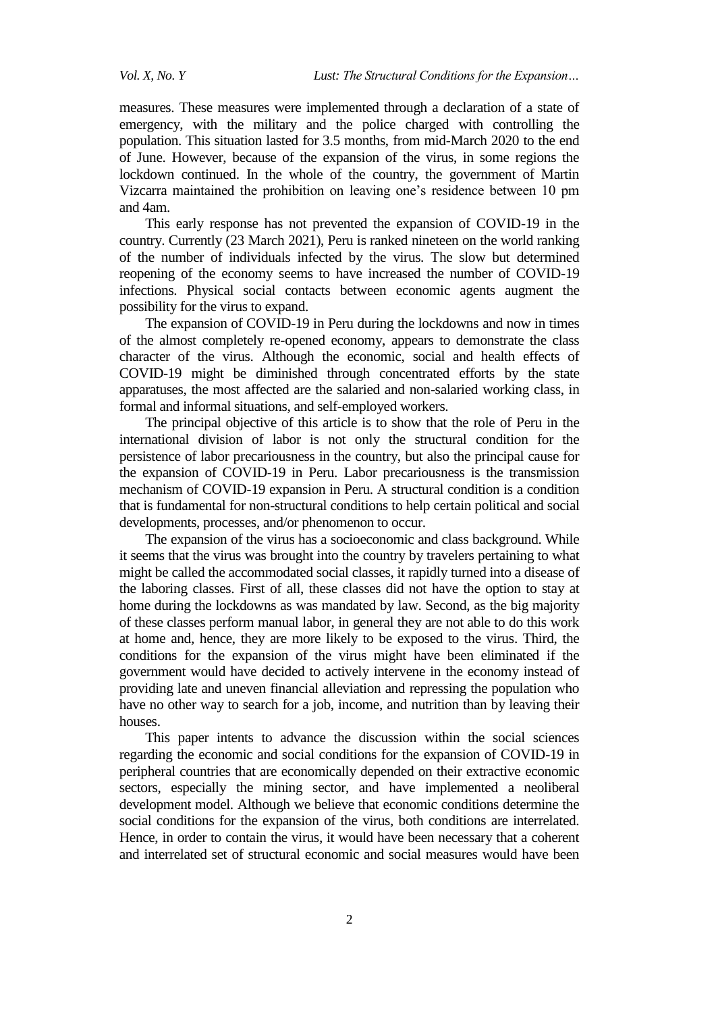measures. These measures were implemented through a declaration of a state of emergency, with the military and the police charged with controlling the population. This situation lasted for 3.5 months, from mid-March 2020 to the end of June. However, because of the expansion of the virus, in some regions the lockdown continued. In the whole of the country, the government of Martin Vizcarra maintained the prohibition on leaving one"s residence between 10 pm and 4am.

This early response has not prevented the expansion of COVID-19 in the country. Currently (23 March 2021), Peru is ranked nineteen on the world ranking of the number of individuals infected by the virus. The slow but determined reopening of the economy seems to have increased the number of COVID-19 infections. Physical social contacts between economic agents augment the possibility for the virus to expand.

The expansion of COVID-19 in Peru during the lockdowns and now in times of the almost completely re-opened economy, appears to demonstrate the class character of the virus. Although the economic, social and health effects of COVID-19 might be diminished through concentrated efforts by the state apparatuses, the most affected are the salaried and non-salaried working class, in formal and informal situations, and self-employed workers.

The principal objective of this article is to show that the role of Peru in the international division of labor is not only the structural condition for the persistence of labor precariousness in the country, but also the principal cause for the expansion of COVID-19 in Peru. Labor precariousness is the transmission mechanism of COVID-19 expansion in Peru. A structural condition is a condition that is fundamental for non-structural conditions to help certain political and social developments, processes, and/or phenomenon to occur.

The expansion of the virus has a socioeconomic and class background. While it seems that the virus was brought into the country by travelers pertaining to what might be called the accommodated social classes, it rapidly turned into a disease of the laboring classes. First of all, these classes did not have the option to stay at home during the lockdowns as was mandated by law. Second, as the big majority of these classes perform manual labor, in general they are not able to do this work at home and, hence, they are more likely to be exposed to the virus. Third, the conditions for the expansion of the virus might have been eliminated if the government would have decided to actively intervene in the economy instead of providing late and uneven financial alleviation and repressing the population who have no other way to search for a job, income, and nutrition than by leaving their houses.

This paper intents to advance the discussion within the social sciences regarding the economic and social conditions for the expansion of COVID-19 in peripheral countries that are economically depended on their extractive economic sectors, especially the mining sector, and have implemented a neoliberal development model. Although we believe that economic conditions determine the social conditions for the expansion of the virus, both conditions are interrelated. Hence, in order to contain the virus, it would have been necessary that a coherent and interrelated set of structural economic and social measures would have been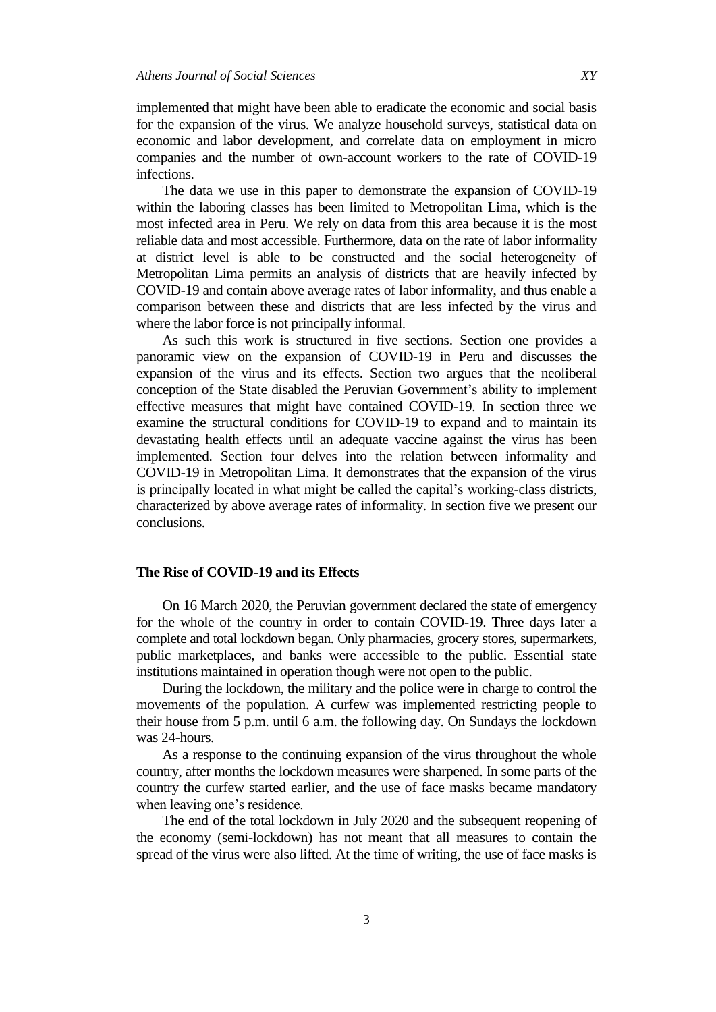implemented that might have been able to eradicate the economic and social basis for the expansion of the virus. We analyze household surveys, statistical data on economic and labor development, and correlate data on employment in micro companies and the number of own-account workers to the rate of COVID-19 infections.

The data we use in this paper to demonstrate the expansion of COVID-19 within the laboring classes has been limited to Metropolitan Lima, which is the most infected area in Peru. We rely on data from this area because it is the most reliable data and most accessible. Furthermore, data on the rate of labor informality at district level is able to be constructed and the social heterogeneity of Metropolitan Lima permits an analysis of districts that are heavily infected by COVID-19 and contain above average rates of labor informality, and thus enable a comparison between these and districts that are less infected by the virus and where the labor force is not principally informal.

As such this work is structured in five sections. Section one provides a panoramic view on the expansion of COVID-19 in Peru and discusses the expansion of the virus and its effects. Section two argues that the neoliberal conception of the State disabled the Peruvian Government"s ability to implement effective measures that might have contained COVID-19. In section three we examine the structural conditions for COVID-19 to expand and to maintain its devastating health effects until an adequate vaccine against the virus has been implemented. Section four delves into the relation between informality and COVID-19 in Metropolitan Lima. It demonstrates that the expansion of the virus is principally located in what might be called the capital's working-class districts, characterized by above average rates of informality. In section five we present our conclusions.

#### **The Rise of COVID-19 and its Effects**

On 16 March 2020, the Peruvian government declared the state of emergency for the whole of the country in order to contain COVID-19. Three days later a complete and total lockdown began. Only pharmacies, grocery stores, supermarkets, public marketplaces, and banks were accessible to the public. Essential state institutions maintained in operation though were not open to the public.

During the lockdown, the military and the police were in charge to control the movements of the population. A curfew was implemented restricting people to their house from 5 p.m. until 6 a.m. the following day. On Sundays the lockdown was 24-hours.

As a response to the continuing expansion of the virus throughout the whole country, after months the lockdown measures were sharpened. In some parts of the country the curfew started earlier, and the use of face masks became mandatory when leaving one's residence.

The end of the total lockdown in July 2020 and the subsequent reopening of the economy (semi-lockdown) has not meant that all measures to contain the spread of the virus were also lifted. At the time of writing, the use of face masks is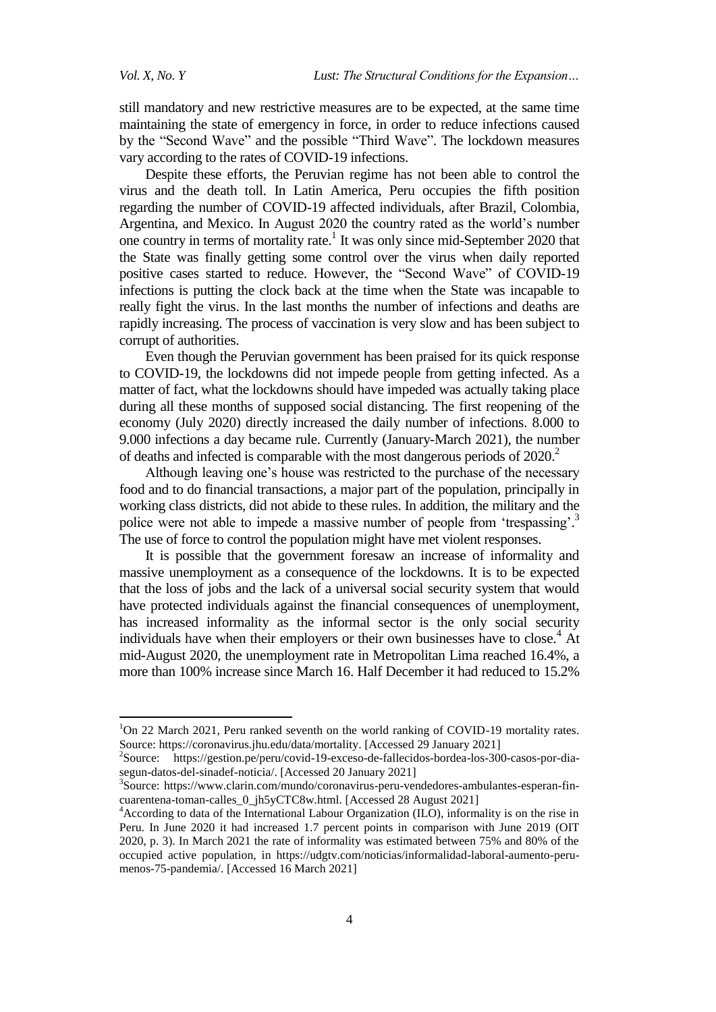still mandatory and new restrictive measures are to be expected, at the same time maintaining the state of emergency in force, in order to reduce infections caused by the "Second Wave" and the possible "Third Wave". The lockdown measures vary according to the rates of COVID-19 infections.

Despite these efforts, the Peruvian regime has not been able to control the virus and the death toll. In Latin America, Peru occupies the fifth position regarding the number of COVID-19 affected individuals, after Brazil, Colombia, Argentina, and Mexico. In August 2020 the country rated as the world"s number one country in terms of mortality rate.<sup>1</sup> It was only since mid-September 2020 that the State was finally getting some control over the virus when daily reported positive cases started to reduce. However, the "Second Wave" of COVID-19 infections is putting the clock back at the time when the State was incapable to really fight the virus. In the last months the number of infections and deaths are rapidly increasing. The process of vaccination is very slow and has been subject to corrupt of authorities.

Even though the Peruvian government has been praised for its quick response to COVID-19, the lockdowns did not impede people from getting infected. As a matter of fact, what the lockdowns should have impeded was actually taking place during all these months of supposed social distancing. The first reopening of the economy (July 2020) directly increased the daily number of infections. 8.000 to 9.000 infections a day became rule. Currently (January-March 2021), the number of deaths and infected is comparable with the most dangerous periods of  $2020$ <sup>2</sup>

Although leaving one"s house was restricted to the purchase of the necessary food and to do financial transactions, a major part of the population, principally in working class districts, did not abide to these rules. In addition, the military and the police were not able to impede a massive number of people from 'trespassing'.<sup>3</sup> The use of force to control the population might have met violent responses.

It is possible that the government foresaw an increase of informality and massive unemployment as a consequence of the lockdowns. It is to be expected that the loss of jobs and the lack of a universal social security system that would have protected individuals against the financial consequences of unemployment, has increased informality as the informal sector is the only social security individuals have when their employers or their own businesses have to close.<sup>4</sup> At mid-August 2020, the unemployment rate in Metropolitan Lima reached 16.4%, a more than 100% increase since March 16. Half December it had reduced to 15.2%

<sup>&</sup>lt;sup>1</sup>On 22 March 2021, Peru ranked seventh on the world ranking of COVID-19 mortality rates. Source: [https://coronavirus.jhu.edu/data/mortality.](https://coronavirus.jhu.edu/data/mortality) [Accessed 29 January 2021]

<sup>&</sup>lt;sup>2</sup>Source: [https://gestion.pe/peru/covid-19-exceso-de-fallecidos-bordea-los-300-casos-por-dia](https://gestion.pe/peru/covid-19-exceso-de-fallecidos-bordea-los-300-casos-por-dia-segun-datos-del-sinadef-noticia/)[segun-datos-del-sinadef-noticia/.](https://gestion.pe/peru/covid-19-exceso-de-fallecidos-bordea-los-300-casos-por-dia-segun-datos-del-sinadef-noticia/) [Accessed 20 January 2021]

<sup>3</sup> Source: [https://www.clarin.com/mundo/coronavirus-peru-vendedores-ambulantes-esperan-fin](https://www.clarin.com/mundo/coronavirus-peru-vendedores-ambulantes-esperan-fin-cuarentena-toman-calles_0_jh5yCTC8w.html)[cuarentena-toman-calles\\_0\\_jh5yCTC8w.html.](https://www.clarin.com/mundo/coronavirus-peru-vendedores-ambulantes-esperan-fin-cuarentena-toman-calles_0_jh5yCTC8w.html) [Accessed 28 August 2021]

<sup>&</sup>lt;sup>4</sup> According to data of the International Labour Organization (ILO), informality is on the rise in Peru. In June 2020 it had increased 1.7 percent points in comparison with June 2019 (OIT 2020, p. 3). In March 2021 the rate of informality was estimated between 75% and 80% of the occupied active population, in [https://udgtv.com/noticias/informalidad-laboral-aumento-peru](https://udgtv.com/noticias/informalidad-laboral-aumento-peru-menos-75-pandemia/)[menos-75-pandemia/.](https://udgtv.com/noticias/informalidad-laboral-aumento-peru-menos-75-pandemia/) [Accessed 16 March 2021]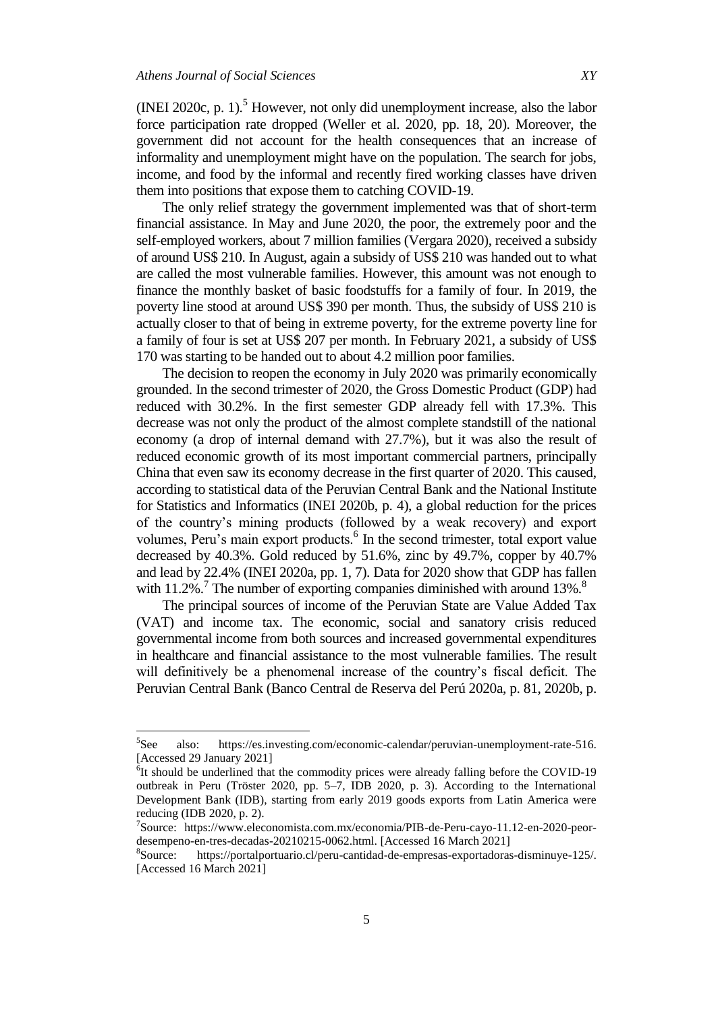(INEI 2020c, p. 1).<sup>5</sup> However, not only did unemployment increase, also the labor force participation rate dropped (Weller et al. 2020, pp. 18, 20). Moreover, the government did not account for the health consequences that an increase of informality and unemployment might have on the population. The search for jobs, income, and food by the informal and recently fired working classes have driven them into positions that expose them to catching COVID-19.

The only relief strategy the government implemented was that of short-term financial assistance. In May and June 2020, the poor, the extremely poor and the self-employed workers, about 7 million families (Vergara 2020), received a subsidy of around US\$ 210. In August, again a subsidy of US\$ 210 was handed out to what are called the most vulnerable families. However, this amount was not enough to finance the monthly basket of basic foodstuffs for a family of four. In 2019, the poverty line stood at around US\$ 390 per month. Thus, the subsidy of US\$ 210 is actually closer to that of being in extreme poverty, for the extreme poverty line for a family of four is set at US\$ 207 per month. In February 2021, a subsidy of US\$ 170 was starting to be handed out to about 4.2 million poor families.

The decision to reopen the economy in July 2020 was primarily economically grounded. In the second trimester of 2020, the Gross Domestic Product (GDP) had reduced with 30.2%. In the first semester GDP already fell with 17.3%. This decrease was not only the product of the almost complete standstill of the national economy (a drop of internal demand with 27.7%), but it was also the result of reduced economic growth of its most important commercial partners, principally China that even saw its economy decrease in the first quarter of 2020. This caused, according to statistical data of the Peruvian Central Bank and the National Institute for Statistics and Informatics (INEI 2020b, p. 4), a global reduction for the prices of the country"s mining products (followed by a weak recovery) and export volumes, Peru's main export products.<sup>6</sup> In the second trimester, total export value decreased by 40.3%. Gold reduced by 51.6%, zinc by 49.7%, copper by 40.7% and lead by 22.4% (INEI 2020a, pp. 1, 7). Data for 2020 show that GDP has fallen with  $11.2\%$ .<sup>7</sup> The number of exporting companies diminished with around  $13\%$ .<sup>8</sup>

The principal sources of income of the Peruvian State are Value Added Tax (VAT) and income tax. The economic, social and sanatory crisis reduced governmental income from both sources and increased governmental expenditures in healthcare and financial assistance to the most vulnerable families. The result will definitively be a phenomenal increase of the country's fiscal deficit. The Peruvian Central Bank (Banco Central de Reserva del Perú 2020a, p. 81, 2020b, p.

<sup>&</sup>lt;sup>5</sup>See also: [https://es.investing.com/economic-calendar/peruvian-unemployment-rate-516.](https://es.investing.com/economic-calendar/peruvian-unemployment-rate-516) [Accessed 29 January 2021]

<sup>&</sup>lt;sup>6</sup>It should be underlined that the commodity prices were already falling before the COVID-19 outbreak in Peru (Tröster 2020, pp. 5–7, IDB 2020, p. 3). According to the International Development Bank (IDB), starting from early 2019 goods exports from Latin America were reducing (IDB 2020, p. 2).

<sup>7</sup> Source: [https://www.eleconomista.com.mx/economia/PIB-de-Peru-cayo-11.12-en-2020-peor](https://www.eleconomista.com.mx/economia/PIB-de-Peru-cayo-11.12-en-2020-peor-desempeno-en-tres-decadas-20210215-0062.html)[desempeno-en-tres-decadas-20210215-0062.html.](https://www.eleconomista.com.mx/economia/PIB-de-Peru-cayo-11.12-en-2020-peor-desempeno-en-tres-decadas-20210215-0062.html) [Accessed 16 March 2021]

<sup>&</sup>lt;sup>8</sup>Source: [https://portalportuario.cl/peru-cantidad-de-empresas-exportadoras-disminuye-125/.](https://portalportuario.cl/peru-cantidad-de-empresas-exportadoras-disminuye-125/) [Accessed 16 March 2021]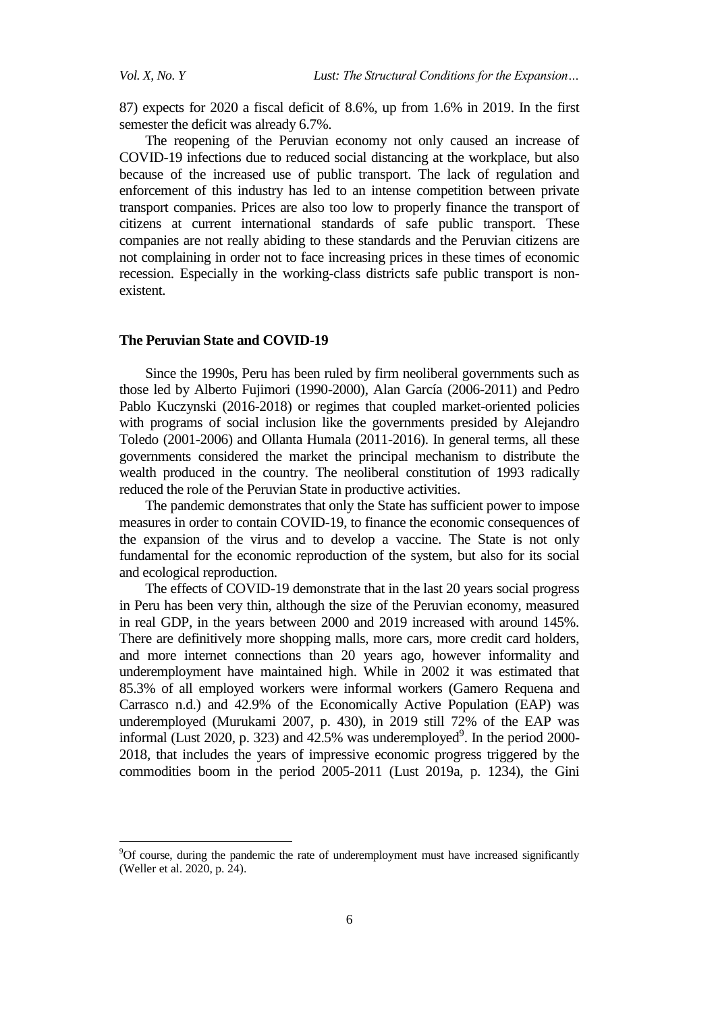87) expects for 2020 a fiscal deficit of 8.6%, up from 1.6% in 2019. In the first semester the deficit was already 6.7%.

The reopening of the Peruvian economy not only caused an increase of COVID-19 infections due to reduced social distancing at the workplace, but also because of the increased use of public transport. The lack of regulation and enforcement of this industry has led to an intense competition between private transport companies. Prices are also too low to properly finance the transport of citizens at current international standards of safe public transport. These companies are not really abiding to these standards and the Peruvian citizens are not complaining in order not to face increasing prices in these times of economic recession. Especially in the working-class districts safe public transport is nonexistent.

#### **The Peruvian State and COVID-19**

Since the 1990s, Peru has been ruled by firm neoliberal governments such as those led by Alberto Fujimori (1990-2000), Alan García (2006-2011) and Pedro Pablo Kuczynski (2016-2018) or regimes that coupled market-oriented policies with programs of social inclusion like the governments presided by Alejandro Toledo (2001-2006) and Ollanta Humala (2011-2016). In general terms, all these governments considered the market the principal mechanism to distribute the wealth produced in the country. The neoliberal constitution of 1993 radically reduced the role of the Peruvian State in productive activities.

The pandemic demonstrates that only the State has sufficient power to impose measures in order to contain COVID-19, to finance the economic consequences of the expansion of the virus and to develop a vaccine. The State is not only fundamental for the economic reproduction of the system, but also for its social and ecological reproduction.

The effects of COVID-19 demonstrate that in the last 20 years social progress in Peru has been very thin, although the size of the Peruvian economy, measured in real GDP, in the years between 2000 and 2019 increased with around 145%. There are definitively more shopping malls, more cars, more credit card holders, and more internet connections than 20 years ago, however informality and underemployment have maintained high. While in 2002 it was estimated that 85.3% of all employed workers were informal workers (Gamero Requena and Carrasco n.d.) and 42.9% of the Economically Active Population (EAP) was underemployed (Murukami 2007, p. 430), in 2019 still 72% of the EAP was informal (Lust 2020, p. 323) and  $42.5\%$  was underemployed<sup>9</sup>. In the period 2000-2018, that includes the years of impressive economic progress triggered by the commodities boom in the period 2005-2011 (Lust 2019a, p. 1234), the Gini

<sup>9</sup>Of course, during the pandemic the rate of underemployment must have increased significantly (Weller et al. 2020, p. 24).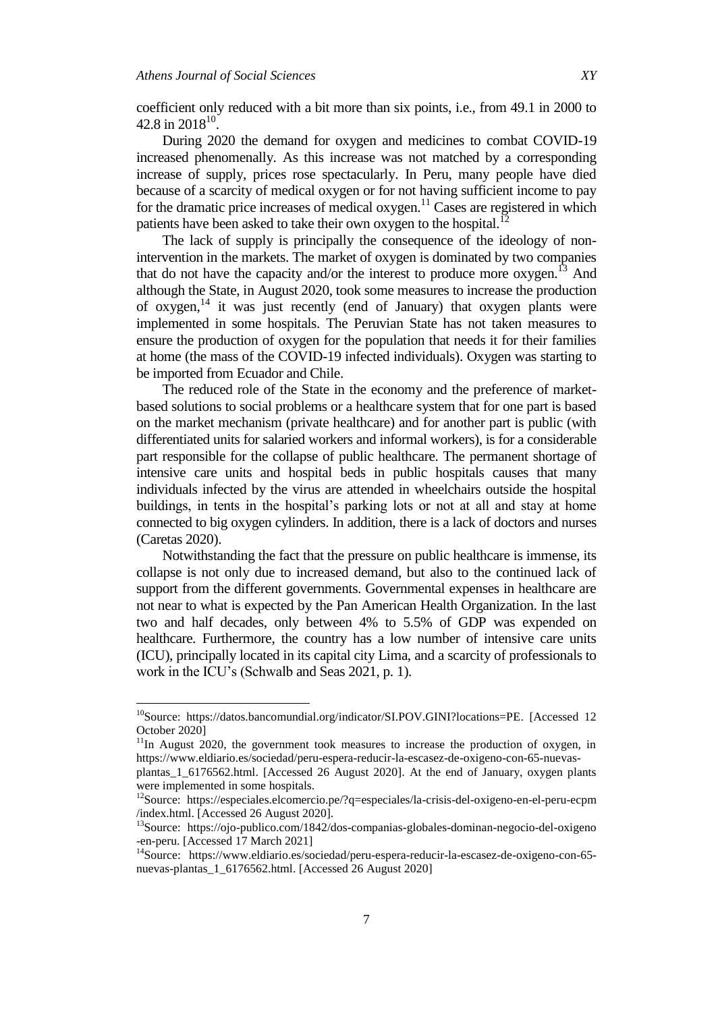$\overline{\phantom{a}}$ 

coefficient only reduced with a bit more than six points, i.e., from 49.1 in 2000 to 42.8 in 2018<sup>10</sup>.

During 2020 the demand for oxygen and medicines to combat COVID-19 increased phenomenally. As this increase was not matched by a corresponding increase of supply, prices rose spectacularly. In Peru, many people have died because of a scarcity of medical oxygen or for not having sufficient income to pay for the dramatic price increases of medical oxygen.<sup>11</sup> Cases are registered in which patients have been asked to take their own oxygen to the hospital.<sup>12</sup>

The lack of supply is principally the consequence of the ideology of nonintervention in the markets. The market of oxygen is dominated by two companies that do not have the capacity and/or the interest to produce more oxygen.<sup>13</sup> And although the State, in August 2020, took some measures to increase the production of oxygen, $14$  it was just recently (end of January) that oxygen plants were implemented in some hospitals. The Peruvian State has not taken measures to ensure the production of oxygen for the population that needs it for their families at home (the mass of the COVID-19 infected individuals). Oxygen was starting to be imported from Ecuador and Chile.

The reduced role of the State in the economy and the preference of marketbased solutions to social problems or a healthcare system that for one part is based on the market mechanism (private healthcare) and for another part is public (with differentiated units for salaried workers and informal workers), is for a considerable part responsible for the collapse of public healthcare. The permanent shortage of intensive care units and hospital beds in public hospitals causes that many individuals infected by the virus are attended in wheelchairs outside the hospital buildings, in tents in the hospital's parking lots or not at all and stay at home connected to big oxygen cylinders. In addition, there is a lack of doctors and nurses (Caretas 2020).

Notwithstanding the fact that the pressure on public healthcare is immense, its collapse is not only due to increased demand, but also to the continued lack of support from the different governments. Governmental expenses in healthcare are not near to what is expected by the Pan American Health Organization. In the last two and half decades, only between 4% to 5.5% of GDP was expended on healthcare. Furthermore, the country has a low number of intensive care units (ICU), principally located in its capital city Lima, and a scarcity of professionals to work in the ICU"s (Schwalb and Seas 2021, p. 1).

<sup>&</sup>lt;sup>10</sup>Source: [https://datos.bancomundial.org/indicator/SI.POV.GINI?locations=PE.](https://datos.bancomundial.org/indicator/SI.POV.GINI?locations=PE) [Accessed 12 October 2020]

 $11$ In August 2020, the government took measures to increase the production of oxygen, in https://www.eldiario.es/sociedad/peru-espera-reducir-la-escasez-de-oxigeno-con-65-nuevas-

plantas\_1\_6176562.html. [Accessed 26 August 2020]. At the end of January, oxygen plants were implemented in some hospitals.

<sup>12</sup>Source: https://especiales.elcomercio.pe/?q=especiales/la-crisis-del-oxigeno-en-el-peru-ecpm /index.html. [Accessed 26 August 2020].

<sup>13</sup>Source: https://ojo-publico.com/1842/dos-companias-globales-dominan-negocio-del-oxigeno -en-peru. [Accessed 17 March 2021]

<sup>14</sup>Source: [https://www.eldiario.es/sociedad/peru-espera-reducir-la-escasez-de-oxigeno-con-65](https://www.eldiario.es/sociedad/peru-espera-reducir-la-escasez-de-oxigeno-con-65-nuevas-plantas_1_6176562.html) [nuevas-plantas\\_1\\_6176562.html.](https://www.eldiario.es/sociedad/peru-espera-reducir-la-escasez-de-oxigeno-con-65-nuevas-plantas_1_6176562.html) [Accessed 26 August 2020]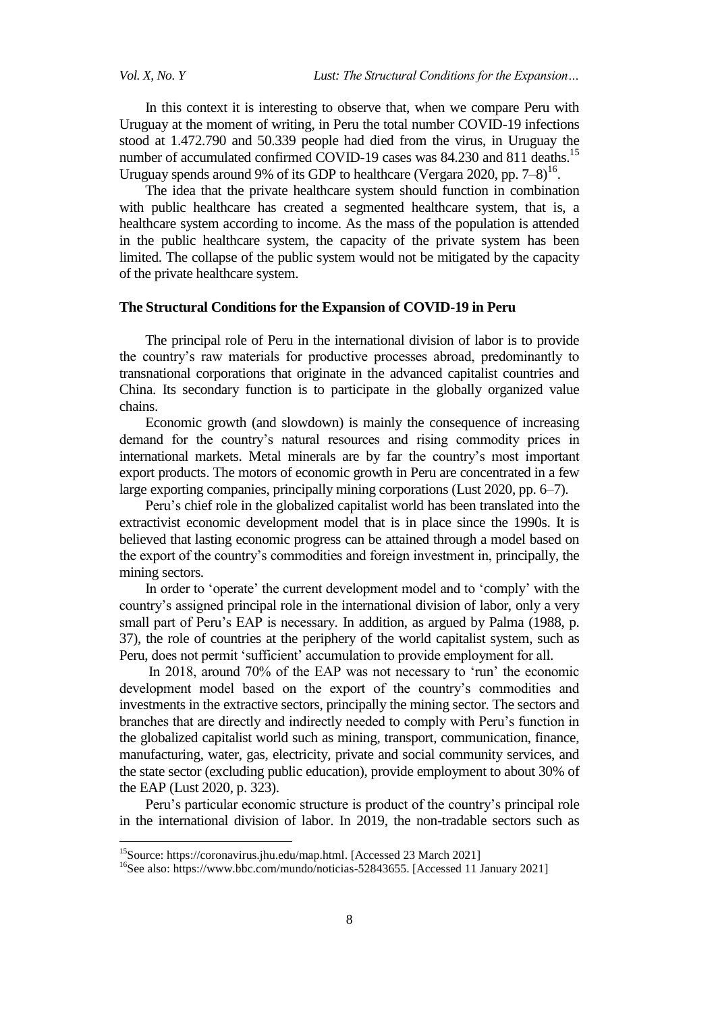In this context it is interesting to observe that, when we compare Peru with Uruguay at the moment of writing, in Peru the total number COVID-19 infections stood at 1.472.790 and 50.339 people had died from the virus, in Uruguay the number of accumulated confirmed COVID-19 cases was 84.230 and 811 deaths.<sup>15</sup> Uruguay spends around 9% of its GDP to healthcare (Vergara 2020, pp.  $7-8$ )<sup>16</sup>.

The idea that the private healthcare system should function in combination with public healthcare has created a segmented healthcare system, that is, a healthcare system according to income. As the mass of the population is attended in the public healthcare system, the capacity of the private system has been limited. The collapse of the public system would not be mitigated by the capacity of the private healthcare system.

#### **The Structural Conditions for the Expansion of COVID-19 in Peru**

The principal role of Peru in the international division of labor is to provide the country"s raw materials for productive processes abroad, predominantly to transnational corporations that originate in the advanced capitalist countries and China. Its secondary function is to participate in the globally organized value chains.

Economic growth (and slowdown) is mainly the consequence of increasing demand for the country"s natural resources and rising commodity prices in international markets. Metal minerals are by far the country"s most important export products. The motors of economic growth in Peru are concentrated in a few large exporting companies, principally mining corporations (Lust 2020, pp. 6–7).

Peru"s chief role in the globalized capitalist world has been translated into the extractivist economic development model that is in place since the 1990s. It is believed that lasting economic progress can be attained through a model based on the export of the country"s commodities and foreign investment in, principally, the mining sectors.

In order to 'operate' the current development model and to 'comply' with the country"s assigned principal role in the international division of labor, only a very small part of Peru's EAP is necessary. In addition, as argued by Palma (1988, p. 37), the role of countries at the periphery of the world capitalist system, such as Peru, does not permit 'sufficient' accumulation to provide employment for all.

In 2018, around 70% of the EAP was not necessary to "run" the economic development model based on the export of the country"s commodities and investments in the extractive sectors, principally the mining sector. The sectors and branches that are directly and indirectly needed to comply with Peru"s function in the globalized capitalist world such as mining, transport, communication, finance, manufacturing, water, gas, electricity, private and social community services, and the state sector (excluding public education), provide employment to about 30% of the EAP (Lust 2020, p. 323).

Peru"s particular economic structure is product of the country"s principal role in the international division of labor. In 2019, the non-tradable sectors such as

 $\overline{a}$ 

<sup>15</sup>Source: [https://coronavirus.jhu.edu/map.html.](https://coronavirus.jhu.edu/map.html) [Accessed 23 March 2021]

<sup>&</sup>lt;sup>16</sup>See also: [https://www.bbc.com/mundo/noticias-52843655.](https://www.bbc.com/mundo/noticias-52843655) [Accessed 11 January 2021]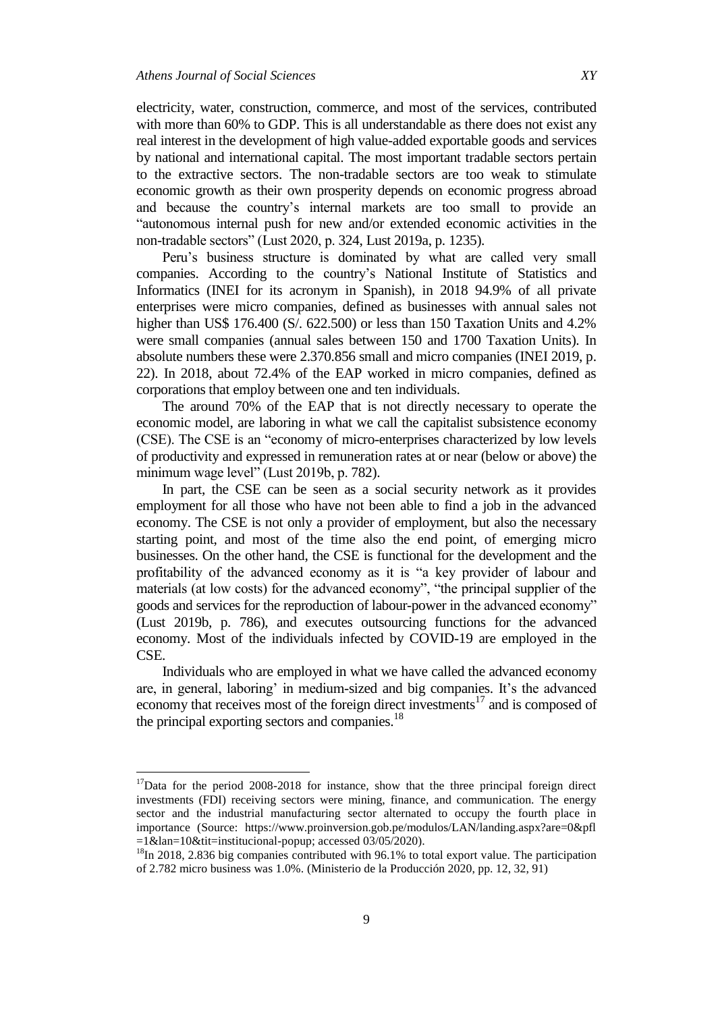$\overline{\phantom{a}}$ 

electricity, water, construction, commerce, and most of the services, contributed with more than 60% to GDP. This is all understandable as there does not exist any real interest in the development of high value-added exportable goods and services by national and international capital. The most important tradable sectors pertain to the extractive sectors. The non-tradable sectors are too weak to stimulate economic growth as their own prosperity depends on economic progress abroad and because the country"s internal markets are too small to provide an "autonomous internal push for new and/or extended economic activities in the non-tradable sectors" (Lust 2020, p. 324, Lust 2019a, p. 1235).

Peru"s business structure is dominated by what are called very small companies. According to the country"s National Institute of Statistics and Informatics (INEI for its acronym in Spanish), in 2018 94.9% of all private enterprises were micro companies, defined as businesses with annual sales not higher than US\$ 176.400 (S/. 622.500) or less than 150 Taxation Units and 4.2% were small companies (annual sales between 150 and 1700 Taxation Units). In absolute numbers these were 2.370.856 small and micro companies (INEI 2019, p. 22). In 2018, about 72.4% of the EAP worked in micro companies, defined as corporations that employ between one and ten individuals.

The around 70% of the EAP that is not directly necessary to operate the economic model, are laboring in what we call the capitalist subsistence economy (CSE). The CSE is an "economy of micro-enterprises characterized by low levels of productivity and expressed in remuneration rates at or near (below or above) the minimum wage level" (Lust 2019b, p. 782).

In part, the CSE can be seen as a social security network as it provides employment for all those who have not been able to find a job in the advanced economy. The CSE is not only a provider of employment, but also the necessary starting point, and most of the time also the end point, of emerging micro businesses. On the other hand, the CSE is functional for the development and the profitability of the advanced economy as it is "a key provider of labour and materials (at low costs) for the advanced economy", "the principal supplier of the goods and services for the reproduction of labour-power in the advanced economy" (Lust 2019b, p. 786), and executes outsourcing functions for the advanced economy. Most of the individuals infected by COVID-19 are employed in the CSE.

Individuals who are employed in what we have called the advanced economy are, in general, laboring' in medium-sized and big companies. It's the advanced economy that receives most of the foreign direct investments<sup>17</sup> and is composed of the principal exporting sectors and companies. $^{18}$ 

 $17$ Data for the period 2008-2018 for instance, show that the three principal foreign direct investments (FDI) receiving sectors were mining, finance, and communication. The energy sector and the industrial manufacturing sector alternated to occupy the fourth place in importance (Source: https://www.proinversion.gob.pe/modulos/LAN/landing.aspx?are=0&pfl =1&lan=10&tit=institucional-popup; accessed 03/05/2020).

<sup>&</sup>lt;sup>18</sup>In 2018, 2.836 big companies contributed with 96.1% to total export value. The participation of 2.782 micro business was 1.0%. (Ministerio de la Producción 2020, pp. 12, 32, 91)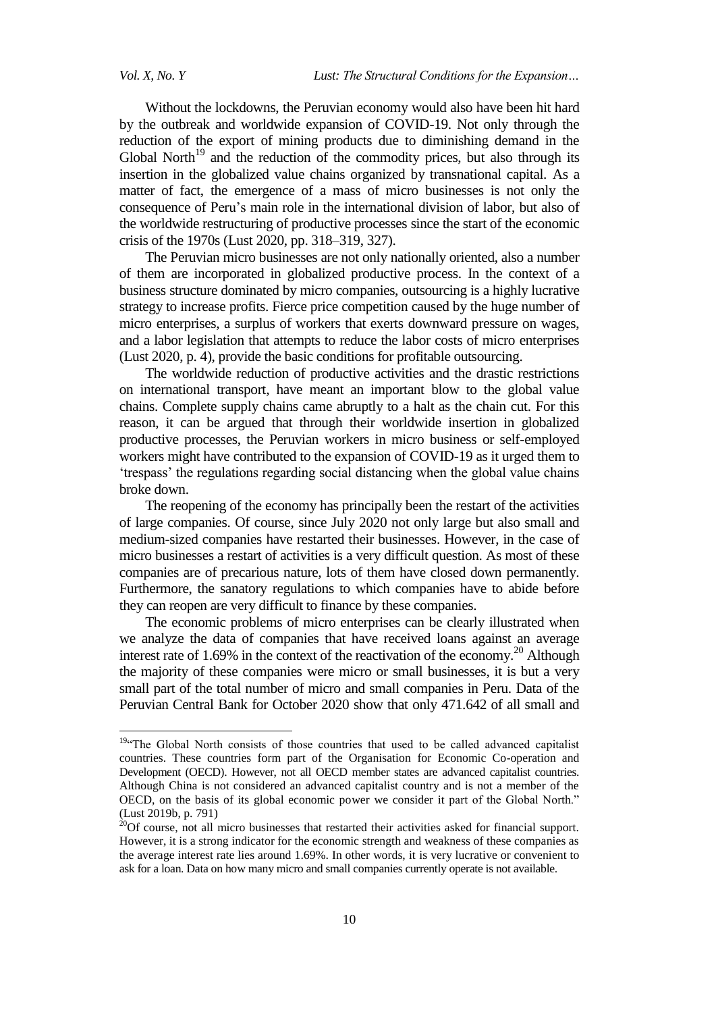$\ddot{\phantom{a}}$ 

Without the lockdowns, the Peruvian economy would also have been hit hard by the outbreak and worldwide expansion of COVID-19. Not only through the reduction of the export of mining products due to diminishing demand in the Global North<sup>19</sup> and the reduction of the commodity prices, but also through its insertion in the globalized value chains organized by transnational capital. As a matter of fact, the emergence of a mass of micro businesses is not only the consequence of Peru"s main role in the international division of labor, but also of the worldwide restructuring of productive processes since the start of the economic crisis of the 1970s (Lust 2020, pp. 318–319, 327).

The Peruvian micro businesses are not only nationally oriented, also a number of them are incorporated in globalized productive process. In the context of a business structure dominated by micro companies, outsourcing is a highly lucrative strategy to increase profits. Fierce price competition caused by the huge number of micro enterprises, a surplus of workers that exerts downward pressure on wages, and a labor legislation that attempts to reduce the labor costs of micro enterprises (Lust 2020, p. 4), provide the basic conditions for profitable outsourcing.

The worldwide reduction of productive activities and the drastic restrictions on international transport, have meant an important blow to the global value chains. Complete supply chains came abruptly to a halt as the chain cut. For this reason, it can be argued that through their worldwide insertion in globalized productive processes, the Peruvian workers in micro business or self-employed workers might have contributed to the expansion of COVID-19 as it urged them to "trespass" the regulations regarding social distancing when the global value chains broke down.

The reopening of the economy has principally been the restart of the activities of large companies. Of course, since July 2020 not only large but also small and medium-sized companies have restarted their businesses. However, in the case of micro businesses a restart of activities is a very difficult question. As most of these companies are of precarious nature, lots of them have closed down permanently. Furthermore, the sanatory regulations to which companies have to abide before they can reopen are very difficult to finance by these companies.

The economic problems of micro enterprises can be clearly illustrated when we analyze the data of companies that have received loans against an average interest rate of 1.69% in the context of the reactivation of the economy.<sup>20</sup> Although the majority of these companies were micro or small businesses, it is but a very small part of the total number of micro and small companies in Peru. Data of the Peruvian Central Bank for October 2020 show that only 471.642 of all small and

<sup>&</sup>lt;sup>19</sup>"The Global North consists of those countries that used to be called advanced capitalist countries. These countries form part of the Organisation for Economic Co-operation and Development (OECD). However, not all OECD member states are advanced capitalist countries. Although China is not considered an advanced capitalist country and is not a member of the OECD, on the basis of its global economic power we consider it part of the Global North." (Lust 2019b, p. 791)

 $20$ Of course, not all micro businesses that restarted their activities asked for financial support. However, it is a strong indicator for the economic strength and weakness of these companies as the average interest rate lies around 1.69%. In other words, it is very lucrative or convenient to ask for a loan. Data on how many micro and small companies currently operate is not available.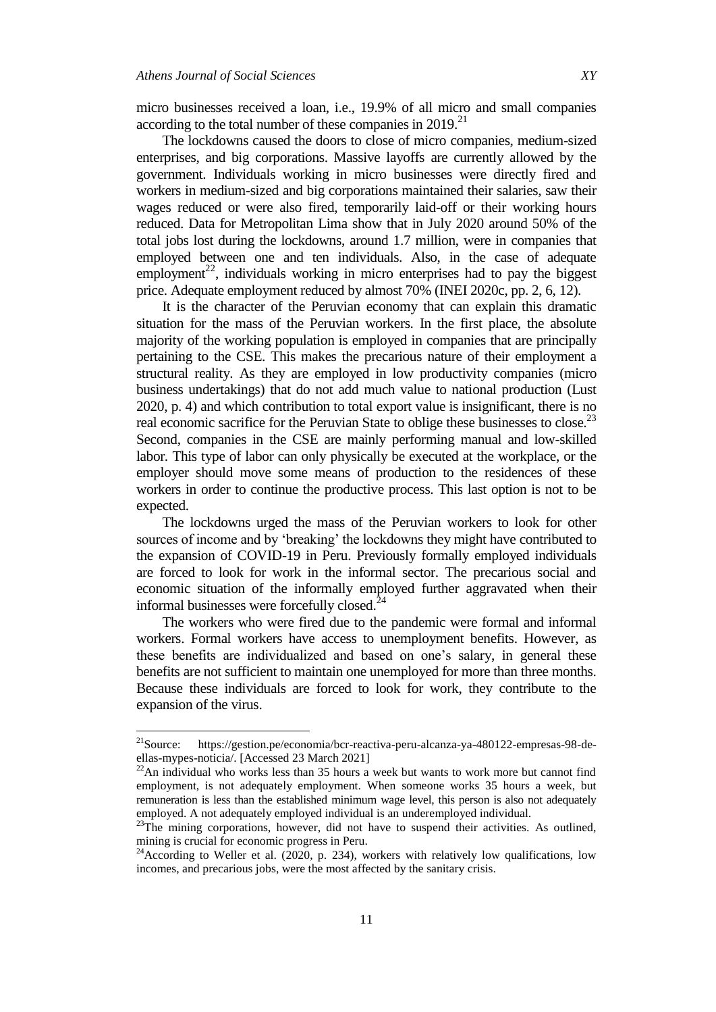micro businesses received a loan, i.e., 19.9% of all micro and small companies according to the total number of these companies in  $2019$ <sup>21</sup>

The lockdowns caused the doors to close of micro companies, medium-sized enterprises, and big corporations. Massive layoffs are currently allowed by the government. Individuals working in micro businesses were directly fired and workers in medium-sized and big corporations maintained their salaries, saw their wages reduced or were also fired, temporarily laid-off or their working hours reduced. Data for Metropolitan Lima show that in July 2020 around 50% of the total jobs lost during the lockdowns, around 1.7 million, were in companies that employed between one and ten individuals. Also, in the case of adequate employment<sup>22</sup>, individuals working in micro enterprises had to pay the biggest price. Adequate employment reduced by almost 70% (INEI 2020c, pp. 2, 6, 12).

It is the character of the Peruvian economy that can explain this dramatic situation for the mass of the Peruvian workers. In the first place, the absolute majority of the working population is employed in companies that are principally pertaining to the CSE. This makes the precarious nature of their employment a structural reality. As they are employed in low productivity companies (micro business undertakings) that do not add much value to national production (Lust 2020, p. 4) and which contribution to total export value is insignificant, there is no real economic sacrifice for the Peruvian State to oblige these businesses to close.<sup>23</sup> Second, companies in the CSE are mainly performing manual and low-skilled labor. This type of labor can only physically be executed at the workplace, or the employer should move some means of production to the residences of these workers in order to continue the productive process. This last option is not to be expected.

The lockdowns urged the mass of the Peruvian workers to look for other sources of income and by 'breaking' the lockdowns they might have contributed to the expansion of COVID-19 in Peru. Previously formally employed individuals are forced to look for work in the informal sector. The precarious social and economic situation of the informally employed further aggravated when their informal businesses were forcefully closed. $24$ 

The workers who were fired due to the pandemic were formal and informal workers. Formal workers have access to unemployment benefits. However, as these benefits are individualized and based on one"s salary, in general these benefits are not sufficient to maintain one unemployed for more than three months. Because these individuals are forced to look for work, they contribute to the expansion of the virus.

 $21$ Source: [https://gestion.pe/economia/bcr-reactiva-peru-alcanza-ya-480122-empresas-98-de](https://gestion.pe/economia/bcr-reactiva-peru-alcanza-ya-480122-empresas-98-de-ellas-mypes-noticia/)[ellas-mypes-noticia/.](https://gestion.pe/economia/bcr-reactiva-peru-alcanza-ya-480122-empresas-98-de-ellas-mypes-noticia/) [Accessed 23 March 2021]

 $22$ An individual who works less than 35 hours a week but wants to work more but cannot find employment, is not adequately employment. When someone works 35 hours a week, but remuneration is less than the established minimum wage level, this person is also not adequately employed. A not adequately employed individual is an underemployed individual.

 $23$ The mining corporations, however, did not have to suspend their activities. As outlined, mining is crucial for economic progress in Peru.

 $24$ According to Weller et al. (2020, p. 234), workers with relatively low qualifications, low incomes, and precarious jobs, were the most affected by the sanitary crisis.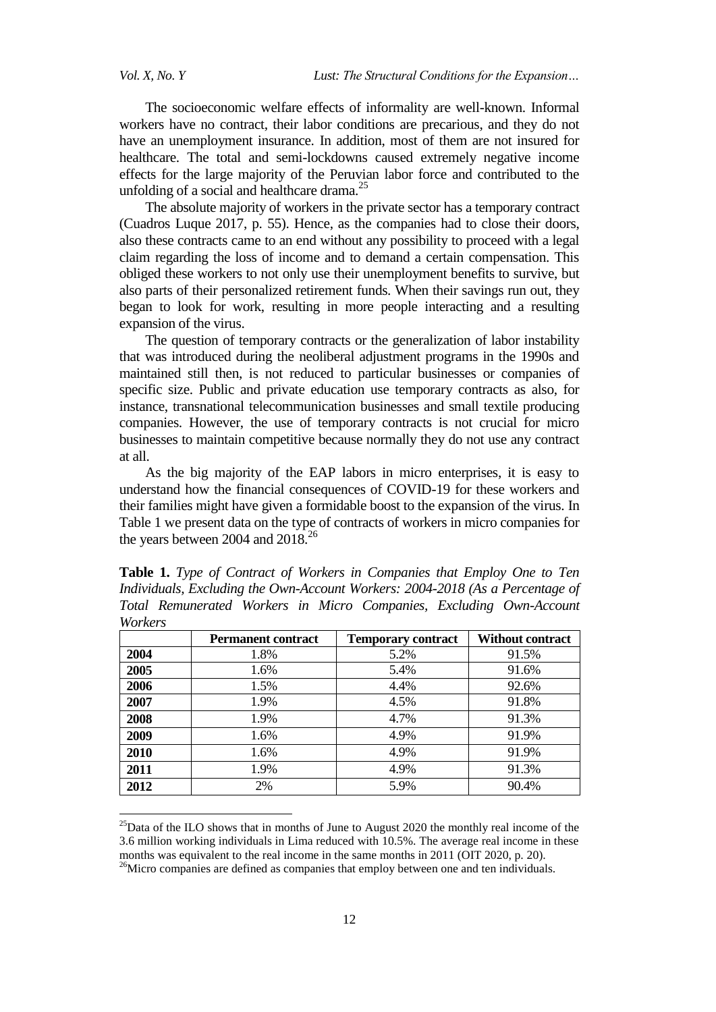$\ddot{\phantom{a}}$ 

The socioeconomic welfare effects of informality are well-known. Informal workers have no contract, their labor conditions are precarious, and they do not have an unemployment insurance. In addition, most of them are not insured for healthcare. The total and semi-lockdowns caused extremely negative income effects for the large majority of the Peruvian labor force and contributed to the unfolding of a social and healthcare drama.<sup>25</sup>

The absolute majority of workers in the private sector has a temporary contract (Cuadros Luque 2017, p. 55). Hence, as the companies had to close their doors, also these contracts came to an end without any possibility to proceed with a legal claim regarding the loss of income and to demand a certain compensation. This obliged these workers to not only use their unemployment benefits to survive, but also parts of their personalized retirement funds. When their savings run out, they began to look for work, resulting in more people interacting and a resulting expansion of the virus.

The question of temporary contracts or the generalization of labor instability that was introduced during the neoliberal adjustment programs in the 1990s and maintained still then, is not reduced to particular businesses or companies of specific size. Public and private education use temporary contracts as also, for instance, transnational telecommunication businesses and small textile producing companies. However, the use of temporary contracts is not crucial for micro businesses to maintain competitive because normally they do not use any contract at all.

As the big majority of the EAP labors in micro enterprises, it is easy to understand how the financial consequences of COVID-19 for these workers and their families might have given a formidable boost to the expansion of the virus. In Table 1 we present data on the type of contracts of workers in micro companies for the years between 2004 and  $2018.<sup>26</sup>$ 

| workers |                           |                           |                  |  |
|---------|---------------------------|---------------------------|------------------|--|
|         | <b>Permanent contract</b> | <b>Temporary contract</b> | Without contract |  |
| 2004    | 1.8%                      | 5.2%                      | 91.5%            |  |
| 2005    | 1.6%                      | 5.4%                      | 91.6%            |  |
| 2006    | 1.5%                      | 4.4%                      | 92.6%            |  |
| 2007    | 1.9%                      | 4.5%                      | 91.8%            |  |
| 2008    | 1.9%                      | 4.7%                      | 91.3%            |  |
| 2009    | 1.6%                      | 4.9%                      | 91.9%            |  |
| 2010    | 1.6%                      | 4.9%                      | 91.9%            |  |
| 2011    | 1.9%                      | 4.9%                      | 91.3%            |  |
| 2012    | 2%                        | 5.9%                      | 90.4%            |  |

**Table 1.** *Type of Contract of Workers in Companies that Employ One to Ten Individuals, Excluding the Own-Account Workers: 2004-2018 (As a Percentage of Total Remunerated Workers in Micro Companies, Excluding Own-Account Workers*

 $^{25}$ Data of the ILO shows that in months of June to August 2020 the monthly real income of the 3.6 million working individuals in Lima reduced with 10.5%. The average real income in these months was equivalent to the real income in the same months in 2011 (OIT 2020, p. 20).

<sup>&</sup>lt;sup>26</sup>Micro companies are defined as companies that employ between one and ten individuals.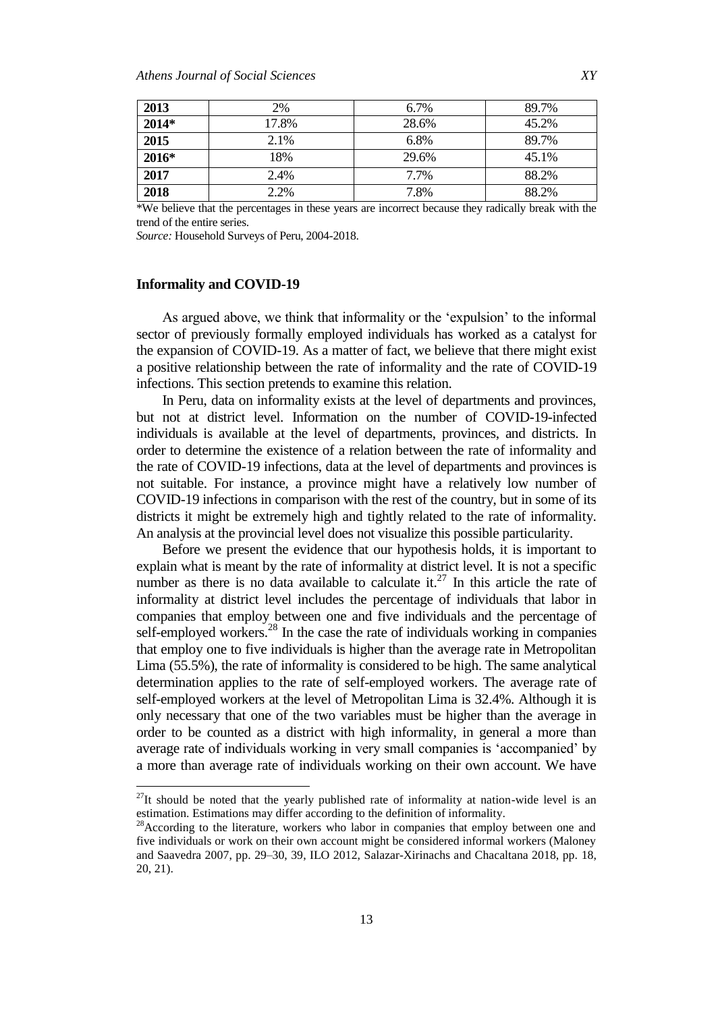| 2013    | 2%    | 6.7%  | 89.7% |
|---------|-------|-------|-------|
| $2014*$ | 17.8% | 28.6% | 45.2% |
| 2015    | 2.1%  | 6.8%  | 89.7% |
| 2016*   | 18%   | 29.6% | 45.1% |
| 2017    | 2.4%  | 7.7%  | 88.2% |
| 2018    | 2.2%  | 7.8%  | 88.2% |

\*We believe that the percentages in these years are incorrect because they radically break with the trend of the entire series.

*Source:* Household Surveys of Peru, 2004-2018.

#### **Informality and COVID-19**

 $\overline{\phantom{a}}$ 

As argued above, we think that informality or the "expulsion" to the informal sector of previously formally employed individuals has worked as a catalyst for the expansion of COVID-19. As a matter of fact, we believe that there might exist a positive relationship between the rate of informality and the rate of COVID-19 infections. This section pretends to examine this relation.

In Peru, data on informality exists at the level of departments and provinces, but not at district level. Information on the number of COVID-19-infected individuals is available at the level of departments, provinces, and districts. In order to determine the existence of a relation between the rate of informality and the rate of COVID-19 infections, data at the level of departments and provinces is not suitable. For instance, a province might have a relatively low number of COVID-19 infections in comparison with the rest of the country, but in some of its districts it might be extremely high and tightly related to the rate of informality. An analysis at the provincial level does not visualize this possible particularity.

Before we present the evidence that our hypothesis holds, it is important to explain what is meant by the rate of informality at district level. It is not a specific number as there is no data available to calculate it.<sup>27</sup> In this article the rate of informality at district level includes the percentage of individuals that labor in companies that employ between one and five individuals and the percentage of self-employed workers. $^{28}$  In the case the rate of individuals working in companies that employ one to five individuals is higher than the average rate in Metropolitan Lima (55.5%), the rate of informality is considered to be high. The same analytical determination applies to the rate of self-employed workers. The average rate of self-employed workers at the level of Metropolitan Lima is 32.4%. Although it is only necessary that one of the two variables must be higher than the average in order to be counted as a district with high informality, in general a more than average rate of individuals working in very small companies is "accompanied" by a more than average rate of individuals working on their own account. We have

 $^{27}$ It should be noted that the yearly published rate of informality at nation-wide level is an estimation. Estimations may differ according to the definition of informality.

<sup>&</sup>lt;sup>28</sup>According to the literature, workers who labor in companies that employ between one and five individuals or work on their own account might be considered informal workers (Maloney and Saavedra 2007, pp. 29–30, 39, ILO 2012, Salazar-Xirinachs and Chacaltana 2018, pp. 18, 20, 21).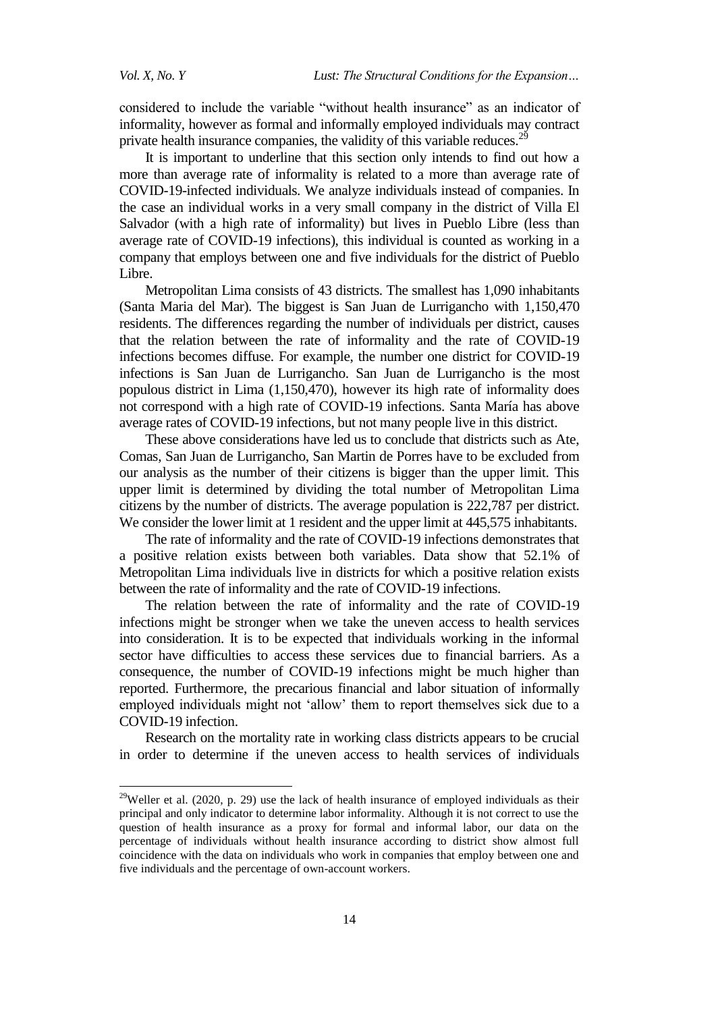considered to include the variable "without health insurance" as an indicator of informality, however as formal and informally employed individuals may contract private health insurance companies, the validity of this variable reduces.<sup>29</sup>

It is important to underline that this section only intends to find out how a more than average rate of informality is related to a more than average rate of COVID-19-infected individuals. We analyze individuals instead of companies. In the case an individual works in a very small company in the district of Villa El Salvador (with a high rate of informality) but lives in Pueblo Libre (less than average rate of COVID-19 infections), this individual is counted as working in a company that employs between one and five individuals for the district of Pueblo Libre.

Metropolitan Lima consists of 43 districts. The smallest has 1,090 inhabitants (Santa Maria del Mar). The biggest is San Juan de Lurrigancho with 1,150,470 residents. The differences regarding the number of individuals per district, causes that the relation between the rate of informality and the rate of COVID-19 infections becomes diffuse. For example, the number one district for COVID-19 infections is San Juan de Lurrigancho. San Juan de Lurrigancho is the most populous district in Lima (1,150,470), however its high rate of informality does not correspond with a high rate of COVID-19 infections. Santa María has above average rates of COVID-19 infections, but not many people live in this district.

These above considerations have led us to conclude that districts such as Ate, Comas, San Juan de Lurrigancho, San Martin de Porres have to be excluded from our analysis as the number of their citizens is bigger than the upper limit. This upper limit is determined by dividing the total number of Metropolitan Lima citizens by the number of districts. The average population is 222,787 per district. We consider the lower limit at 1 resident and the upper limit at 445,575 inhabitants.

The rate of informality and the rate of COVID-19 infections demonstrates that a positive relation exists between both variables. Data show that 52.1% of Metropolitan Lima individuals live in districts for which a positive relation exists between the rate of informality and the rate of COVID-19 infections.

The relation between the rate of informality and the rate of COVID-19 infections might be stronger when we take the uneven access to health services into consideration. It is to be expected that individuals working in the informal sector have difficulties to access these services due to financial barriers. As a consequence, the number of COVID-19 infections might be much higher than reported. Furthermore, the precarious financial and labor situation of informally employed individuals might not "allow" them to report themselves sick due to a COVID-19 infection.

Research on the mortality rate in working class districts appears to be crucial in order to determine if the uneven access to health services of individuals

<sup>&</sup>lt;sup>29</sup>Weller et al. (2020, p. 29) use the lack of health insurance of employed individuals as their principal and only indicator to determine labor informality. Although it is not correct to use the question of health insurance as a proxy for formal and informal labor, our data on the percentage of individuals without health insurance according to district show almost full coincidence with the data on individuals who work in companies that employ between one and five individuals and the percentage of own-account workers.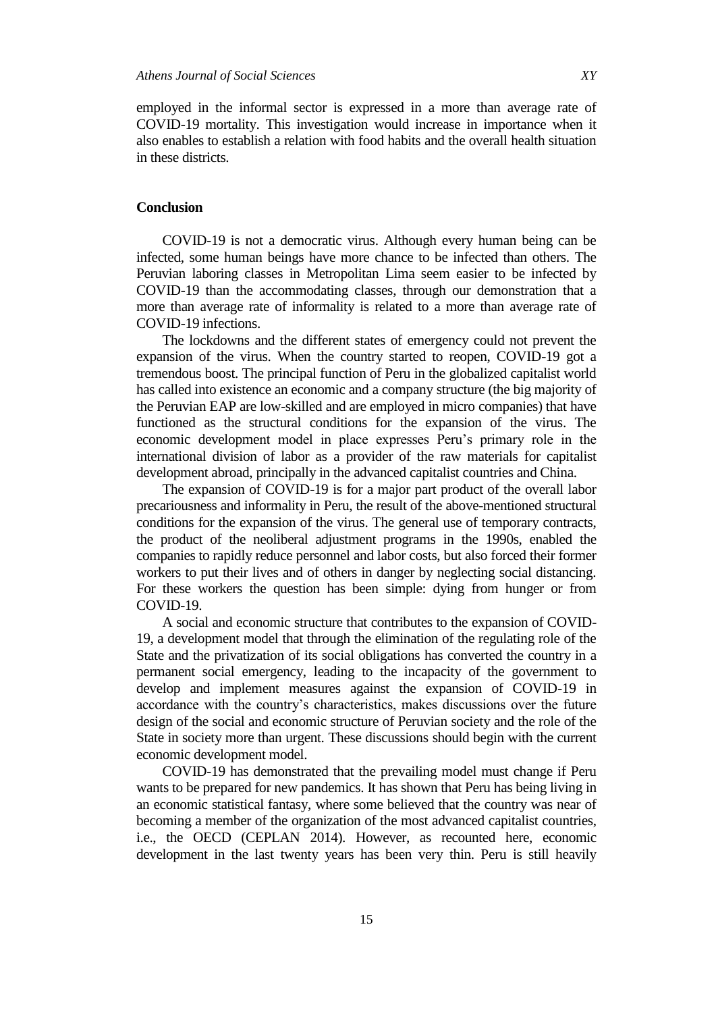employed in the informal sector is expressed in a more than average rate of COVID-19 mortality. This investigation would increase in importance when it also enables to establish a relation with food habits and the overall health situation in these districts.

## **Conclusion**

COVID-19 is not a democratic virus. Although every human being can be infected, some human beings have more chance to be infected than others. The Peruvian laboring classes in Metropolitan Lima seem easier to be infected by COVID-19 than the accommodating classes, through our demonstration that a more than average rate of informality is related to a more than average rate of COVID-19 infections.

The lockdowns and the different states of emergency could not prevent the expansion of the virus. When the country started to reopen, COVID-19 got a tremendous boost. The principal function of Peru in the globalized capitalist world has called into existence an economic and a company structure (the big majority of the Peruvian EAP are low-skilled and are employed in micro companies) that have functioned as the structural conditions for the expansion of the virus. The economic development model in place expresses Peru"s primary role in the international division of labor as a provider of the raw materials for capitalist development abroad, principally in the advanced capitalist countries and China.

The expansion of COVID-19 is for a major part product of the overall labor precariousness and informality in Peru, the result of the above-mentioned structural conditions for the expansion of the virus. The general use of temporary contracts, the product of the neoliberal adjustment programs in the 1990s, enabled the companies to rapidly reduce personnel and labor costs, but also forced their former workers to put their lives and of others in danger by neglecting social distancing. For these workers the question has been simple: dying from hunger or from COVID-19.

A social and economic structure that contributes to the expansion of COVID-19, a development model that through the elimination of the regulating role of the State and the privatization of its social obligations has converted the country in a permanent social emergency, leading to the incapacity of the government to develop and implement measures against the expansion of COVID-19 in accordance with the country"s characteristics, makes discussions over the future design of the social and economic structure of Peruvian society and the role of the State in society more than urgent. These discussions should begin with the current economic development model.

COVID-19 has demonstrated that the prevailing model must change if Peru wants to be prepared for new pandemics. It has shown that Peru has being living in an economic statistical fantasy, where some believed that the country was near of becoming a member of the organization of the most advanced capitalist countries, i.e., the OECD (CEPLAN 2014). However, as recounted here, economic development in the last twenty years has been very thin. Peru is still heavily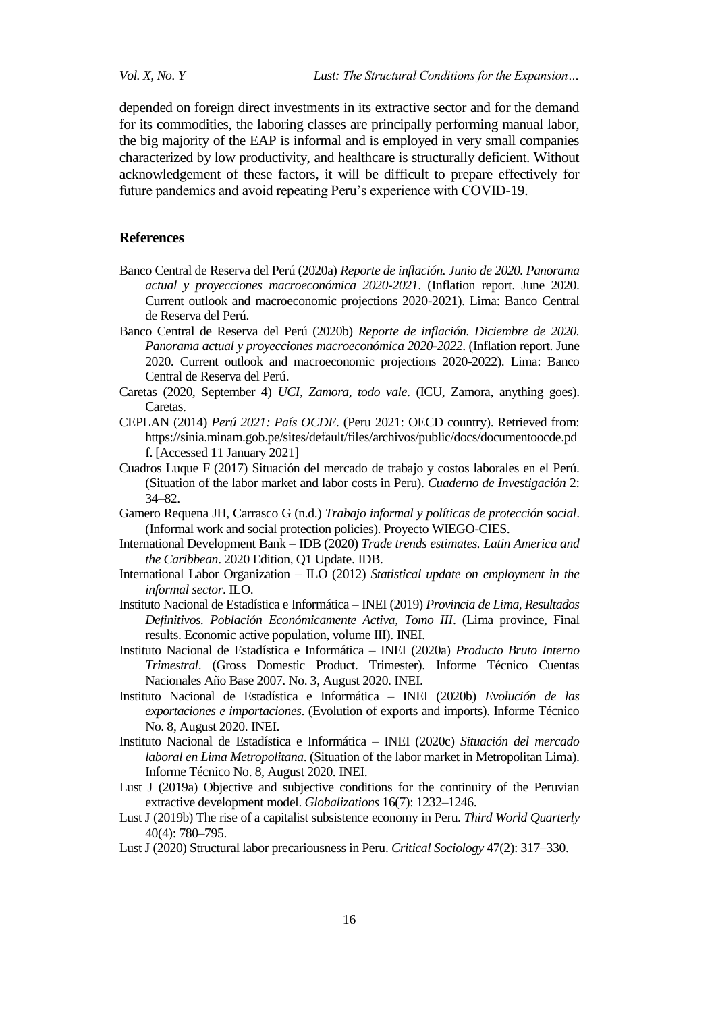*Vol. X, No. Y Lust: The Structural Conditions for the Expansion…*

depended on foreign direct investments in its extractive sector and for the demand for its commodities, the laboring classes are principally performing manual labor, the big majority of the EAP is informal and is employed in very small companies characterized by low productivity, and healthcare is structurally deficient. Without acknowledgement of these factors, it will be difficult to prepare effectively for future pandemics and avoid repeating Peru"s experience with COVID-19.

### **References**

- Banco Central de Reserva del Perú (2020a) *Reporte de inflación. Junio de 2020. Panorama actual y proyecciones macroeconómica 2020-2021*. (Inflation report. June 2020. Current outlook and macroeconomic projections 2020-2021). Lima: Banco Central de Reserva del Perú.
- Banco Central de Reserva del Perú (2020b) *Reporte de inflación. Diciembre de 2020. Panorama actual y proyecciones macroeconómica 2020-2022*. (Inflation report. June 2020. Current outlook and macroeconomic projections 2020-2022). Lima: Banco Central de Reserva del Perú.
- Caretas (2020, September 4) *UCI, Zamora, todo vale*. (ICU, Zamora, anything goes). Caretas.
- CEPLAN (2014) *Perú 2021: País OCDE*. (Peru 2021: OECD country). Retrieved from: https://sinia.minam.gob.pe/sites/default/files/archivos/public/docs/documentoocde.pd f. [Accessed 11 January 2021]
- Cuadros Luque F (2017) Situación del mercado de trabajo y costos laborales en el Perú. (Situation of the labor market and labor costs in Peru). *Cuaderno de Investigación* 2: 34–82.
- Gamero Requena JH, Carrasco G (n.d.) *Trabajo informal y políticas de protección social*. (Informal work and social protection policies). Proyecto WIEGO-CIES.
- International Development Bank IDB (2020) *Trade trends estimates. Latin America and the Caribbean*. 2020 Edition, Q1 Update. IDB.
- International Labor Organization ILO (2012) *Statistical update on employment in the informal sector*. ILO.
- Instituto Nacional de Estadística e Informática INEI (2019) *Provincia de Lima, Resultados Definitivos. Población Económicamente Activa, Tomo III*. (Lima province, Final results. Economic active population, volume III). INEI.
- Instituto Nacional de Estadística e Informática INEI (2020a) *Producto Bruto Interno Trimestral*. (Gross Domestic Product. Trimester). Informe Técnico Cuentas Nacionales Año Base 2007. No. 3, August 2020. INEI.
- Instituto Nacional de Estadística e Informática INEI (2020b) *Evolución de las exportaciones e importaciones*. (Evolution of exports and imports). Informe Técnico No. 8, August 2020. INEI.
- Instituto Nacional de Estadística e Informática INEI (2020c) *Situación del mercado laboral en Lima Metropolitana*. (Situation of the labor market in Metropolitan Lima). Informe Técnico No. 8, August 2020. INEI.
- Lust J (2019a) Objective and subjective conditions for the continuity of the Peruvian extractive development model. *Globalizations* 16(7): 1232–1246.
- Lust J (2019b) The rise of a capitalist subsistence economy in Peru. *Third World Quarterly* 40(4): 780–795.
- Lust J (2020) Structural labor precariousness in Peru. *Critical Sociology* 47(2): 317–330.